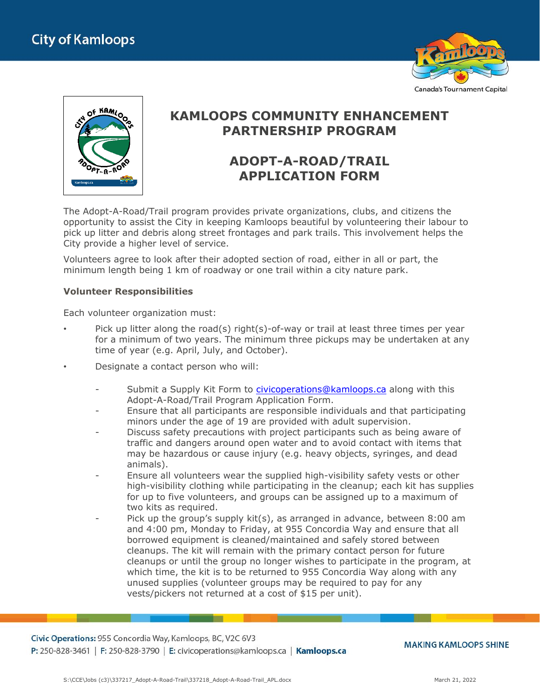



## **KAMLOOPS COMMUNITY ENHANCEMENT PARTNERSHIP PROGRAM**

# **ADOPT-A-ROAD/TRAIL APPLICATION FORM**

The Adopt-A-Road/Trail program provides private organizations, clubs, and citizens the opportunity to assist the City in keeping Kamloops beautiful by volunteering their labour to pick up litter and debris along street frontages and park trails. This involvement helps the City provide a higher level of service.

Volunteers agree to look after their adopted section of road, either in all or part, the minimum length being 1 km of roadway or one trail within a city nature park.

#### **Volunteer Responsibilities**

Each volunteer organization must:

- Pick up litter along the road(s) right(s)-of-way or trail at least three times per year for a minimum of two years. The minimum three pickups may be undertaken at any time of year (e.g. April, July, and October).
- Designate a contact person who will:
	- Submit a Supply Kit Form to [civicoperations@kamloops.ca](mailto:civicoperations@kamloops.ca) along with this Adopt-A-Road/Trail Program Application Form.
	- Ensure that all participants are responsible individuals and that participating minors under the age of 19 are provided with adult supervision.
	- Discuss safety precautions with project participants such as being aware of traffic and dangers around open water and to avoid contact with items that may be hazardous or cause injury (e.g. heavy objects, syringes, and dead animals).
	- Ensure all volunteers wear the supplied high-visibility safety vests or other high-visibility clothing while participating in the cleanup; each kit has supplies for up to five volunteers, and groups can be assigned up to a maximum of two kits as required.
	- Pick up the group's supply  $kit(s)$ , as arranged in advance, between  $8:00$  am and 4:00 pm, Monday to Friday, at 955 Concordia Way and ensure that all borrowed equipment is cleaned/maintained and safely stored between cleanups. The kit will remain with the primary contact person for future cleanups or until the group no longer wishes to participate in the program, at which time, the kit is to be returned to 955 Concordia Way along with any unused supplies (volunteer groups may be required to pay for any vests/pickers not returned at a cost of \$15 per unit).

Civic Operations: 955 Concordia Way, Kamloops, BC, V2C 6V3 P: 250-828-3461 | F: 250-828-3790 | E: civicoperations@kamloops.ca | Kamloops.ca

**MAKING KAMLOOPS SHINE**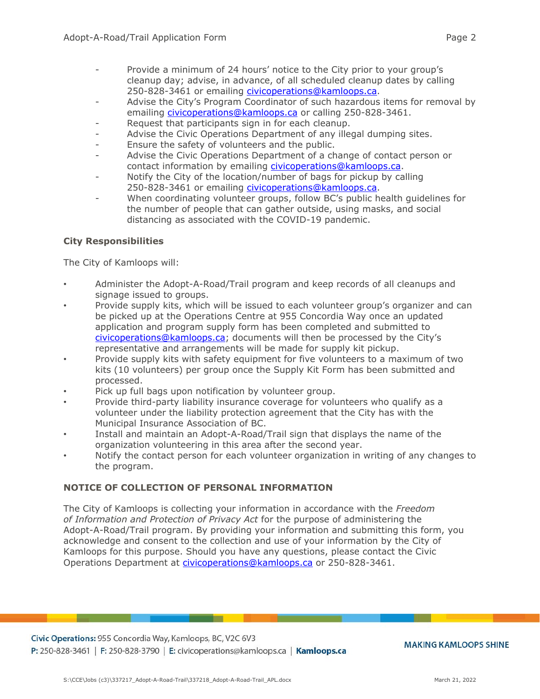- Provide a minimum of 24 hours' notice to the City prior to your group's cleanup day; advise, in advance, of all scheduled cleanup dates by calling 250-828-3461 or emailing [civicoperations@kamloops.ca.](mailto:civicoperations@kamloops.ca)
- Advise the City's Program Coordinator of such hazardous items for removal by emailing [civicoperations@kamloops.ca](mailto:civicoperations@kamloops.ca) or calling 250-828-3461.
- Request that participants sign in for each cleanup.
- Advise the Civic Operations Department of any illegal dumping sites.
- Ensure the safety of volunteers and the public.
- Advise the Civic Operations Department of a change of contact person or contact information by emailing [civicoperations@kamloops.ca.](mailto:civicoperations@kamloops.ca)
- Notify the City of the location/number of bags for pickup by calling 250-828-3461 or emailing [civicoperations@kamloops.ca.](mailto:civicoperations@kamloops.ca)
- When coordinating volunteer groups, follow BC's public health guidelines for the number of people that can gather outside, using masks, and social distancing as associated with the COVID-19 pandemic.

### **City Responsibilities**

The City of Kamloops will:

- Administer the Adopt-A-Road/Trail program and keep records of all cleanups and signage issued to groups.
- Provide supply kits, which will be issued to each volunteer group's organizer and can be picked up at the Operations Centre at 955 Concordia Way once an updated application and program supply form has been completed and submitted to [civicoperations@kamloops.ca](mailto:civicoperations@kamloops.ca); documents will then be processed by the City's representative and arrangements will be made for supply kit pickup.
- Provide supply kits with safety equipment for five volunteers to a maximum of two kits (10 volunteers) per group once the Supply Kit Form has been submitted and processed.
- Pick up full bags upon notification by volunteer group.
- Provide third-party liability insurance coverage for volunteers who qualify as a volunteer under the liability protection agreement that the City has with the Municipal Insurance Association of BC.
- Install and maintain an Adopt-A-Road/Trail sign that displays the name of the organization volunteering in this area after the second year.
- Notify the contact person for each volunteer organization in writing of any changes to the program.

### **NOTICE OF COLLECTION OF PERSONAL INFORMATION**

The City of Kamloops is collecting your information in accordance with the *Freedom of Information and Protection of Privacy Act* for the purpose of administering the Adopt-A-Road/Trail program. By providing your information and submitting this form, you acknowledge and consent to the collection and use of your information by the City of Kamloops for this purpose. Should you have any questions, please contact the Civic Operations Department at [civicoperations@kamloops.ca](mailto:civicoperations@kamloops.ca) or 250-828-3461.

Civic Operations: 955 Concordia Way, Kamloops, BC, V2C 6V3 P: 250-828-3461 | F: 250-828-3790 | E: civicoperations@kamloops.ca | Kamloops.ca

**MAKING KAMLOOPS SHINE**